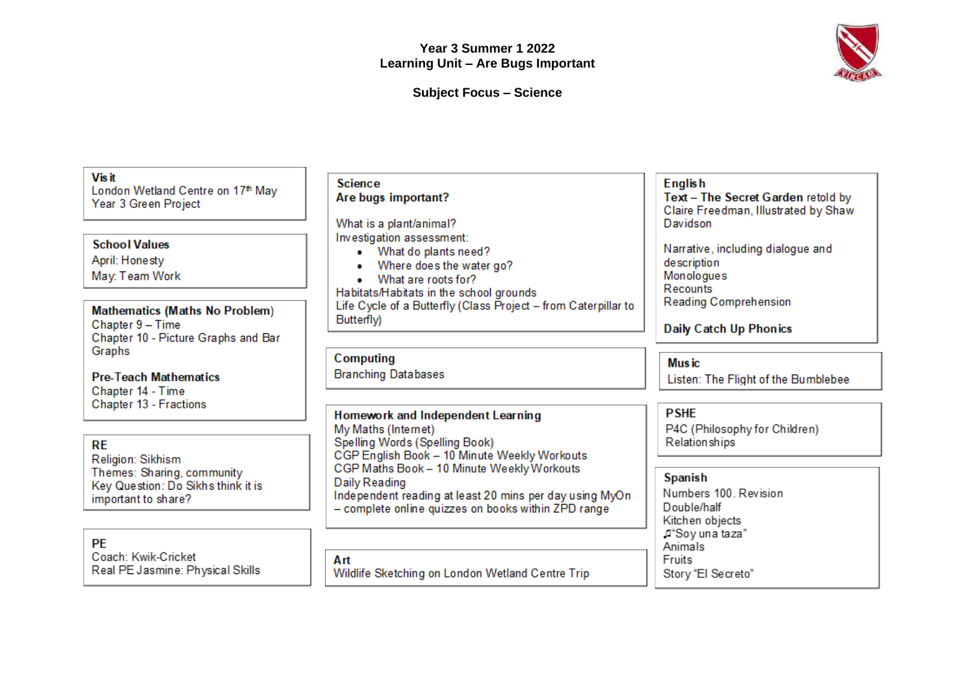

**Subject Focus – Science**

| <b>Visit</b><br>London Wetland Centre on 17th May<br>Year 3 Green Project<br><b>School Values</b><br>April: Honesty<br>May: Team Work                                                                              | <b>Science</b><br>Are bugs important?<br>What is a plant/animal?<br>Investigation assessment:<br>What do plants need?<br>$\bullet$<br>Where does the water go?<br>What are roots for?                                                                                                                                       | <b>English</b><br>Text - The Secret Garden retold by<br>Claire Freedman, Illustrated by Shaw<br>Davidson<br>Narrative, including dialogue and<br>description<br>Monologues<br>Recounts |
|--------------------------------------------------------------------------------------------------------------------------------------------------------------------------------------------------------------------|-----------------------------------------------------------------------------------------------------------------------------------------------------------------------------------------------------------------------------------------------------------------------------------------------------------------------------|----------------------------------------------------------------------------------------------------------------------------------------------------------------------------------------|
| <b>Mathematics (Maths No Problem)</b><br>Chapter 9 - Time<br>Chapter 10 - Picture Graphs and Bar                                                                                                                   | Habitats/Habitats in the school grounds<br>Life Cycle of a Butterfly (Class Project - from Caterpillar to<br>Butterfly)                                                                                                                                                                                                     | Reading Comprehension<br><b>Daily Catch Up Phonics</b>                                                                                                                                 |
| Graphs<br><b>Pre-Teach Mathematics</b><br>Chapter 14 - Time<br>Chapter 13 - Fractions<br><b>RE</b><br>Religion: Sikhism<br>Themes: Sharing, community<br>Key Question: Do Sikhs think it is<br>important to share? | Computing<br><b>Branching Databases</b>                                                                                                                                                                                                                                                                                     | <b>Music</b><br>Listen: The Flight of the Bumblebee                                                                                                                                    |
|                                                                                                                                                                                                                    | Homework and Independent Learning<br>My Maths (Internet)<br>Spelling Words (Spelling Book)<br>CGP English Book - 10 Minute Weekly Workouts<br>CGP Maths Book - 10 Minute Weekly Workouts<br>Daily Reading<br>Independent reading at least 20 mins per day using MyOn<br>- complete online quizzes on books within ZPD range | <b>PSHE</b><br>P4C (Philosophy for Children)<br>Relationships                                                                                                                          |
|                                                                                                                                                                                                                    |                                                                                                                                                                                                                                                                                                                             | Spanish<br>Numbers 100. Revision<br>Double/half<br>Kitchen objects                                                                                                                     |
| PE<br>Coach: Kwik-Cricket<br>Real PE Jasmine: Physical Skills                                                                                                                                                      | Art<br>Wildlife Sketching on London Wetland Centre Trip                                                                                                                                                                                                                                                                     | ,⊄"Soγ una taza"<br>Animals<br>Fruits<br>Story "El Secreto"                                                                                                                            |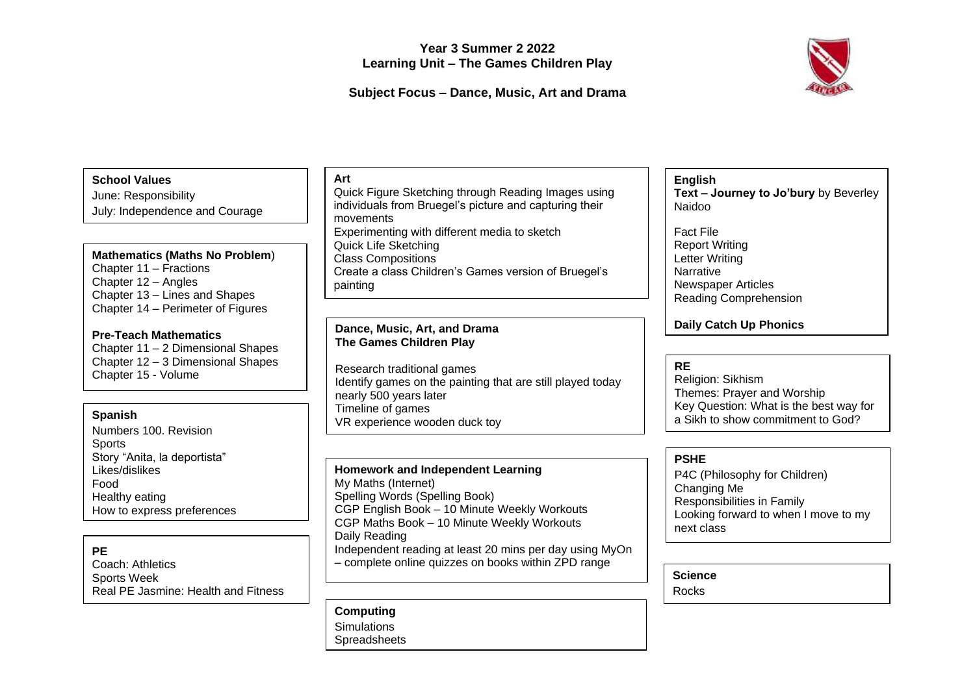# **Year 3 Summer 2 2022 Learning Unit – The Games Children Play**

# **Subject Focus – Dance, Music, Art and Drama**

# **School Values**

June: Responsibility July: Independence and Courage

### **Mathematics (Maths No Problem**)

Chapter 11 – Fractions Chapter 12 – Angles Chapter 13 – Lines and Shapes Chapter 14 – Perimeter of Figures

### **Pre-Teach Mathematics**

Chapter 11 – 2 Dimensional Shapes Chapter 12 – 3 Dimensional Shapes Chapter 15 - Volume

### **Spanish**

Numbers 100. Revision **Sports** Story "Anita, la deportista" Likes/dislikes Food Healthy eating How to express preferences

### **PE**

Coach: Athletics Sports Week Real PE Jasmine: Health and Fitness

### **Art**

Quick Figure Sketching through Reading Images using individuals from Bruegel's picture and capturing their movements Experimenting with different media to sketch Quick Life Sketching Class Compositions Create a class Children's Games version of Bruegel's painting

### **Dance, Music, Art, and Drama The Games Children Play**

Research traditional games Identify games on the painting that are still played today nearly 500 years later Timeline of games VR experience wooden duck toy

### **Homework and Independent Learning** My Maths (Internet) Spelling Words (Spelling Book) CGP English Book – 10 Minute Weekly Workouts CGP Maths Book – 10 Minute Weekly Workouts Daily Reading Independent reading at least 20 mins per day using MyOn – complete online quizzes on books within ZPD range

**Computing Simulations Spreadsheets** 

### **English**

**Text – Journey to Jo'bury** by Beverley Naidoo

Fact File Report Writing Letter Writing **Narrative** Newspaper Articles Reading Comprehension

**Daily Catch Up Phonics**

### **RE**

Religion: Sikhism Themes: Prayer and Worship Key Question: What is the best way for a Sikh to show commitment to God?

### **PSHE**

P4C (Philosophy for Children) Changing Me Responsibilities in Family Looking forward to when I move to my next class

### **Science**

Rocks

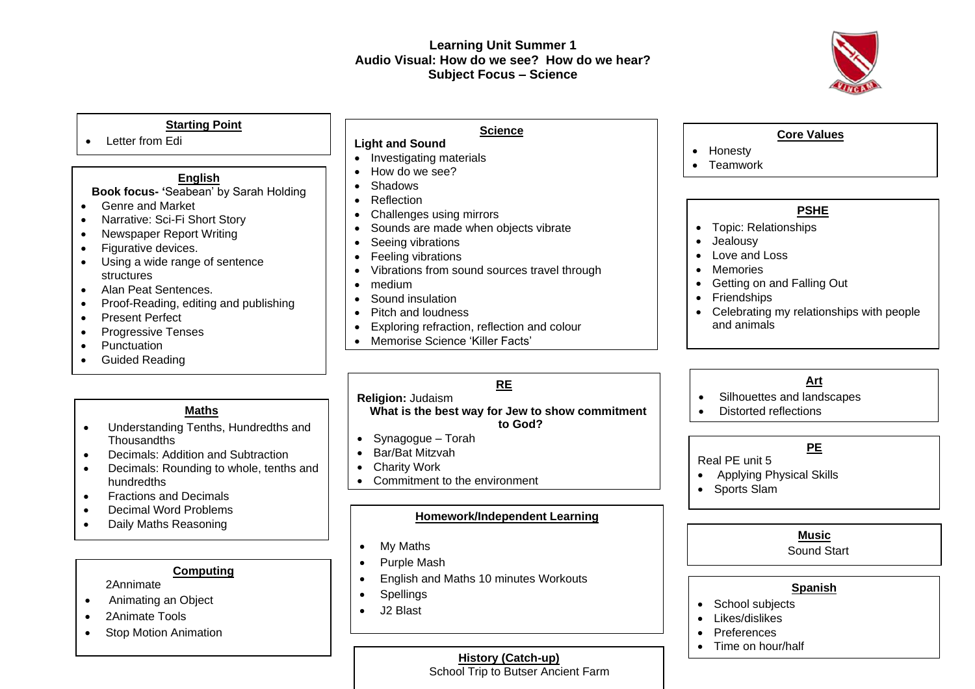# **Learning Unit Summer 1 Audio Visual: How do we see? How do we hear? Subject Focus – Science**



### **Starting Point**

• Letter from Edi

### **English**

### **Book focus- '**Seabean' by Sarah Holding

- Genre and Market
- Narrative: Sci-Fi Short Story
- Newspaper Report Writing
- Figurative devices.
- Using a wide range of sentence structures
- Alan Peat Sentences.
- Proof-Reading, editing and publishing
- Present Perfect
- Progressive Tenses
- Punctuation
- Guided Reading

### **Maths**

- Understanding Tenths, Hundredths and **Thousandths**
- Decimals: Addition and Subtraction
- Decimals: Rounding to whole, tenths and hundredths
- Fractions and Decimals
- Decimal Word Problems
- Daily Maths Reasoning

### **Computing**

2Annimate

- Animating an Object
- 2Animate Tools
- Stop Motion Animation

# **Science**

- **Light and Sound** • Investigating materials
- How do we see?
- Shadows
- Reflection
- Challenges using mirrors
- Sounds are made when objects vibrate
- Seeing vibrations
- Feeling vibrations
- Vibrations from sound sources travel through
- medium
- Sound insulation
- Pitch and loudness
- Exploring refraction, reflection and colour
- Memorise Science 'Killer Facts'

# **RE**

**Religion:** Judaism **What is the best way for Jew to show commitment** 

# **to God?**

- Synagogue Torah
- Bar/Bat Mitzvah
- Charity Work
- Commitment to the environment

### **Homework/Independent Learning**

- My Maths
- Purple Mash
- English and Maths 10 minutes Workouts
- Spellings
- J2 Blast

# **Core Values**

- Honesty
- Teamwork

### **PSHE**

- Topic: Relationships
- Jealousy
- Love and Loss
- Memories
- Getting on and Falling Out
- Friendships
- Celebrating my relationships with people and animals

# **Art**

- Silhouettes and landscapes
- Distorted reflections

# **PE**

Real PE unit 5

- Applying Physical Skills
- Sports Slam

### **Music**

Sound Start

# **Spanish**

- School subjects
- Likes/dislikes
- Preferences
- Time on hour/half

**History (Catch-up)**

School Trip to Butser Ancient Farm

- 
-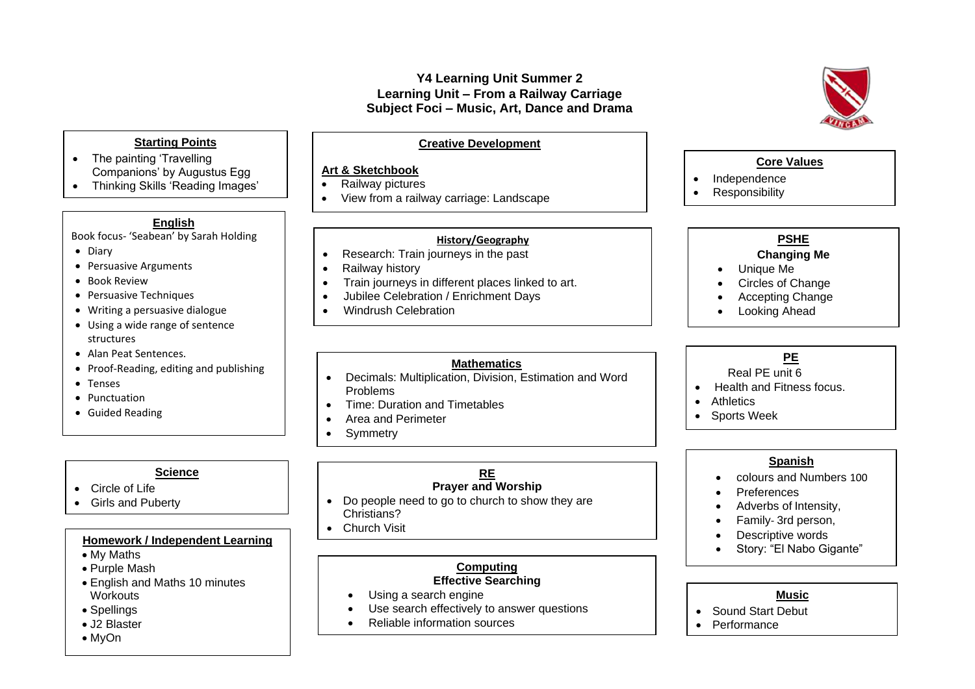# **Y4 Learning Unit Summer 2 Learning Unit – From a Railway Carriage Subject Foci – Music, Art, Dance and Drama**

# **Starting Points**

- The painting 'Travelling Companions' by Augustus Egg
- Thinking Skills 'Reading Images' Activity

### **English**

Book focus- 'Seabean' by Sarah Holding

- Diary
- Persuasive Arguments
- Book Review
- Persuasive Techniques
- Writing a persuasive dialogue
- Using a wide range of sentence structures
- Alan Peat Sentences.
- Proof-Reading, editing and publishing
- Tenses
- Punctuation
- Guided Reading

# **Science**

- Circle of Life
- Girls and Puberty

### **Homework / Independent Learning**

- My Maths
- Purple Mash
- English and Maths 10 minutes **Workouts**
- Spellings
- J2 Blaster
- MyOn

### **Creative Development**

### **Art & Sketchbook**

- Railway pictures
- View from a railway carriage: Landscape

### **History/Geography**

- Research: Train journeys in the past
- Railway history
- Train journeys in different places linked to art.
- Jubilee Celebration / Enrichment Days
- Windrush Celebration

### **Mathematics**

- Decimals: Multiplication, Division, Estimation and Word Problems
- Time: Duration and Timetables
- Area and Perimeter

• Multiplication Tables

**Symmetry** 

### **RE Prayer and Worship**

- Do people need to go to church to show they are Christians?
- Church Visit

### **Computing Effective Searching**

- Using a search engine
- Use search effectively to answer questions
- Reliable information sources

## **Core Values**

- Independence
- **Responsibility**

# **PSHE**

# **Changing Me**

- Unique Me
- Circles of Change
- Accepting Change
- **Looking Ahead**

# **PE**

# Real PE unit 6

- Health and Fitness focus.
- Athletics

•

• Sports Week

### **Spanish**

- colours and Numbers 100
- Preferences
- Adverbs of Intensity,
- Family- 3rd person,
- Descriptive words
- Story: "El Nabo Gigante"

### **Music**

- Sound Start Debut
- **Performance**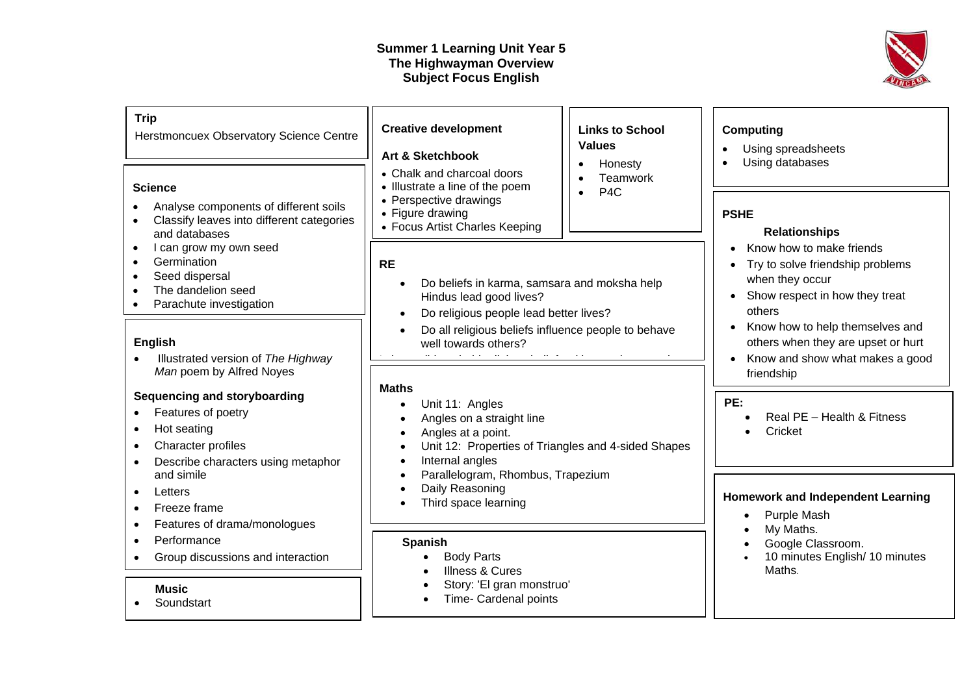# **Summer 1 Learning Unit Year 5 The Highwayman Overview Subject Focus English**



| <b>Trip</b><br>Herstmoncuex Observatory Science Centre                                                                                                  | <b>Creative development</b><br><b>Values</b><br><b>Art &amp; Sketchbook</b>                                                                                                                         | <b>Links to School</b><br><b>Computing</b><br>Using spreadsheets                                                                                                   |
|---------------------------------------------------------------------------------------------------------------------------------------------------------|-----------------------------------------------------------------------------------------------------------------------------------------------------------------------------------------------------|--------------------------------------------------------------------------------------------------------------------------------------------------------------------|
| <b>Science</b><br>Analyse components of different soils<br>$\bullet$<br>Classify leaves into different categories<br>$\bullet$<br>and databases         | • Chalk and charcoal doors<br>• Illustrate a line of the poem<br>P <sub>4</sub> C<br>• Perspective drawings<br>• Figure drawing<br>• Focus Artist Charles Keeping                                   | Using databases<br>Honesty<br>$\bullet$<br>Teamwork<br><b>PSHE</b><br><b>Relationships</b>                                                                         |
| I can grow my own seed<br>$\bullet$<br>Germination<br>$\bullet$<br>Seed dispersal<br>The dandelion seed<br>$\bullet$<br>Parachute investigation         | <b>RE</b><br>Do beliefs in karma, samsara and moksha help<br>Hindus lead good lives?<br>Do religious people lead better lives?                                                                      | Know how to make friends<br>$\bullet$<br>Try to solve friendship problems<br>$\bullet$<br>when they occur<br>Show respect in how they treat<br>$\bullet$<br>others |
| <b>English</b><br>Illustrated version of The Highway<br>Man poem by Alfred Noyes                                                                        | Do all religious beliefs influence people to behave<br>well towards others?                                                                                                                         | Know how to help themselves and<br>$\bullet$<br>others when they are upset or hurt<br>Know and show what makes a good<br>$\bullet$<br>friendship                   |
| Sequencing and storyboarding<br>Features of poetry<br>Hot seating<br>$\bullet$<br>Character profiles<br>$\bullet$<br>Describe characters using metaphor | <b>Maths</b><br>Unit 11: Angles<br>Angles on a straight line<br>$\bullet$<br>Angles at a point.<br>$\bullet$<br>Unit 12: Properties of Triangles and 4-sided Shapes<br>Internal angles<br>$\bullet$ | PE:<br>Real PE - Health & Fitness<br>Cricket                                                                                                                       |
| and simile<br>Letters<br>Freeze frame<br>Features of drama/monologues<br>$\bullet$                                                                      | Parallelogram, Rhombus, Trapezium<br>$\bullet$<br>Daily Reasoning<br>Third space learning                                                                                                           | <b>Homework and Independent Learning</b><br>Purple Mash<br>My Maths.                                                                                               |
| Performance<br>$\bullet$<br>Group discussions and interaction                                                                                           | Spanish<br><b>Body Parts</b><br><b>Illness &amp; Cures</b>                                                                                                                                          | Google Classroom.<br>10 minutes English/ 10 minutes<br>Maths.                                                                                                      |

• Story: 'El gran monstruo' • Time- Cardenal points

# **Music**

• Soundstart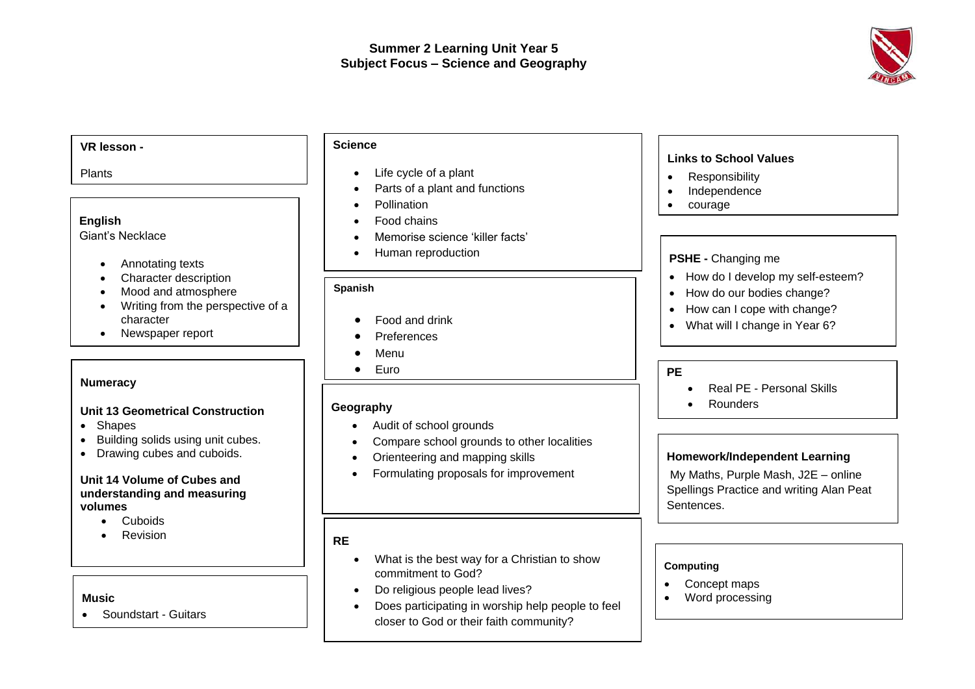

### **VR lesson -** Plants **English** Giant's Necklace • Annotating texts • Character description • Mood and atmosphere • Writing from the perspective of a character • Newspaper report **Numeracy Unit 13 Geometrical Construction** • Shapes • Building solids using unit cubes. • Drawing cubes and cuboids. **Unit 14 Volume of Cubes and understanding and measuring volumes PSHE -** Changing me • How do I develop my self-esteem? • How do our bodies change? • How can I cope with change? • What will I change in Year 6? **PE** • Real PE - Personal Skills • Rounders **Links to School Values**  • Responsibility • Independence • courage **Science**  • Life cycle of a plant • Parts of a plant and functions • Pollination • Food chains • Memorise science 'killer facts' • Human reproduction **Geography** •• Audit of school grounds • Compare school grounds to other localities • Orienteering and mapping skills • Formulating proposals for improvement **Homework/Independent Learning** My Maths, Purple Mash, J2E – online Spellings Practice and writing Alan Peat Sentences. **Spanish** • Food and drink • Preferences • Menu • Euro • At the restaurant

- Cuboids
- **Revision**

### **Music**

• Soundstart - Guitars

### **RE**

- What is the best way for a Christian to show commitment to God?
- Do religious people lead lives?
- Does participating in worship help people to feel closer to God or their faith community?

### **Computing**

- Concept maps
- Word processing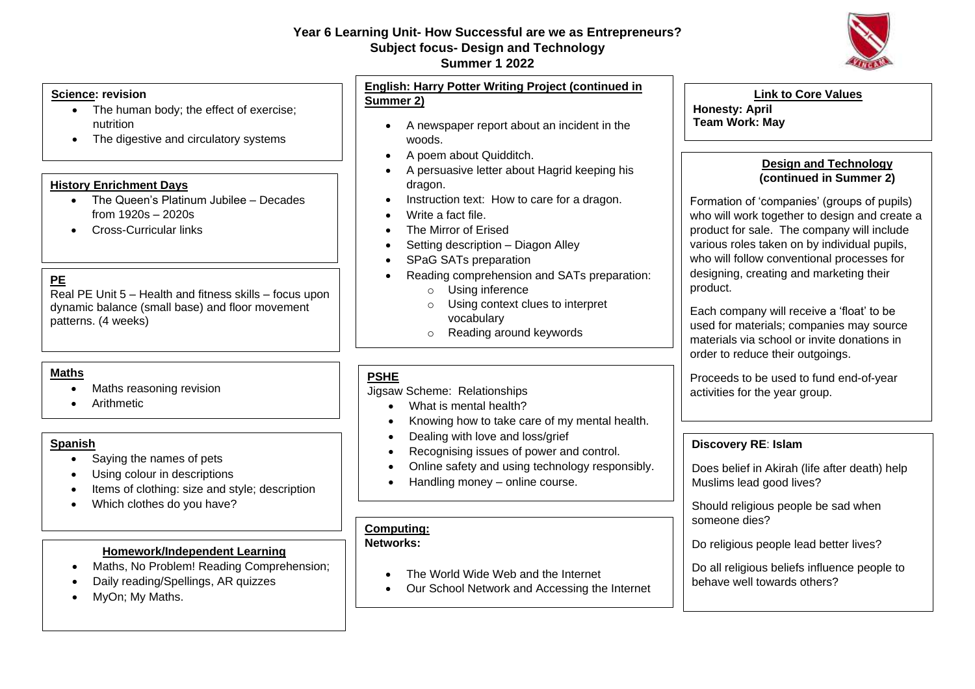# **Year 6 Learning Unit- How Successful are we as Entrepreneurs? Subject focus- Design and Technology**

# **Summer 1 2022**



- The human body; the effect of exercise; nutrition
- The digestive and circulatory systems

### **History Enrichment Days**

- The Queen's Platinum Jubilee Decades from 1920s – 2020s
- Cross-Curricular links

# **PE**

Real PE Unit 5 – Health and fitness skills – focus upon dynamic balance (small base) and floor movement patterns. (4 weeks)

### **Maths**

- Maths reasoning revision
- Arithmetic

### **Spanish**

- Saying the names of pets
- Using colour in descriptions
- Items of clothing: size and style; description
- Which clothes do you have?

### **Homework/Independent Learning**

- Maths, No Problem! Reading Comprehension;
- Daily reading/Spellings, AR quizzes
- MyOn; My Maths.

**English: Harry Potter Writing Project (continued in Summer 2)**

- A newspaper report about an incident in the woods.
- A poem about Quidditch.
- A persuasive letter about Hagrid keeping his dragon.
- Instruction text: How to care for a dragon.
- Write a fact file.
- The Mirror of Erised
- Setting description Diagon Alley
- SPaG SATs preparation
- Reading comprehension and SATs preparation:
	- o Using inference
	- o Using context clues to interpret
		- vocabulary
	- o Reading around keywords

# **PSHE**

Jigsaw Scheme: Relationships

- What is mental health?
- Knowing how to take care of my mental health.
- Dealing with love and loss/grief
- Recognising issues of power and control.
- Online safety and using technology responsibly.
- Handling money online course.

# **Computing:**

# **Networks:**

- The World Wide Web and the Internet
- Our School Network and Accessing the Internet



# **Team Work: May**

# **Design and Technology (continued in Summer 2)**

Formation of 'companies' (groups of pupils) who will work together to design and create a product for sale. The company will include various roles taken on by individual pupils, who will follow conventional processes for designing, creating and marketing their product.

Each company will receive a 'float' to be used for materials; companies may source materials via school or invite donations in order to reduce their outgoings.

Proceeds to be used to fund end-of-year activities for the year group.

### **Discovery RE**: **Islam**

Does belief in Akirah (life after death) help Muslims lead good lives?

Should religious people be sad when someone dies?

Do religious people lead better lives?

Do all religious beliefs influence people to behave well towards others?